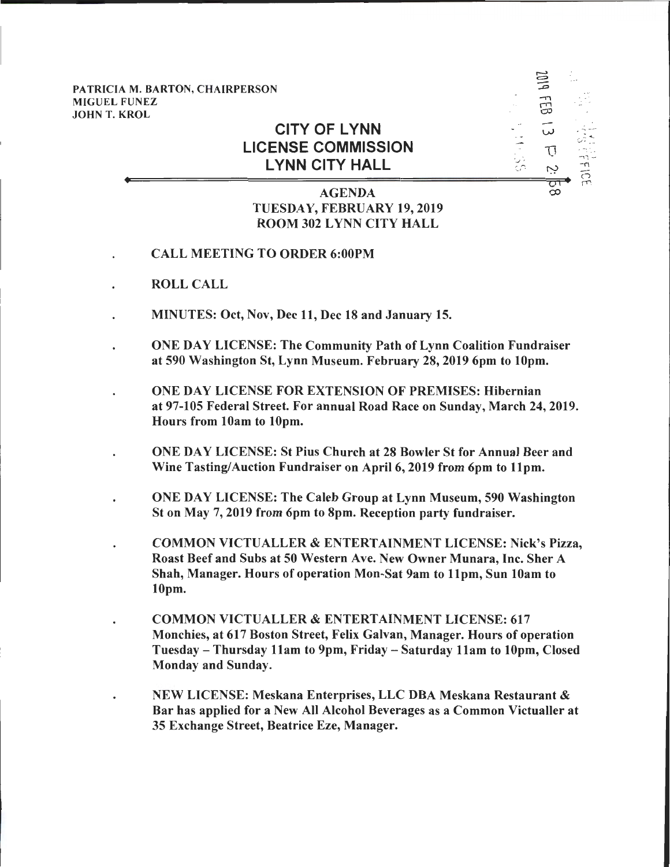PATRICIA M. BARTON, CHAIRPERSON MIGUEL FUNEZ<br>JOHN T. KROL designed a series of *co*p and contract the contract of contract  $\omega$ 

## **CITY OF LYNN LICENSE COMMISSION LYNN CITY HALL**

## AGENDA TUESDAY, FEBRUARY 19, 2019 ROOM 302 LYNN CITY HALL

 $\Xi$  :

 $\cdot$   $\frac{1}{10}$   $\frac{1}{10}$  $\frac{1}{2}$   $\frac{1}{2}$   $\frac{1}{2}$   $\frac{1}{2}$   $\frac{1}{2}$  $\frac{1}{2}$   $\frac{1}{2}$   $\frac{1}{2}$   $\frac{1}{2}$   $\frac{1}{2}$ -n *c\_r.* ry (")

 $\infty$ 

 s::~

 $\omega$ 

 $\Rightarrow$ ....,  $\ddot{\Xi}$ 

.

- CALL MEETING TO ORDER 6:00PM
- ROLL CALL
- MINUTES: Oct, Nov, Dec 11, Dec 18 and January 15.
- ONE DAY LICENSE: The Community Path of Lynn Coalition Fundraiser at 590 Washington St, Lynn Museum. February 28, 2019 6pm to lOpm.
- ONE DAY LICENSE FOR EXTENSION OF PREMISES: Hibernian at 97-105 Federal Street. For annual Road Race on Sunday, March 24, 2019. Hours from lOam to lOpm.
- ONE DAY LICENSE: St Pius Church at 28 Bowler St for Annual Beer and Wine Tasting/Auction Fundraiser on April 6, 2019 from 6pm to llpm.
- ONE DAY LICENSE: The Caleb Group at Lynn Museum, 590 Washington St on May 7, 2019 from 6pm to 8pm. Reception party fundraiser.
- COMMON VICTUALLER & ENTERTAINMENT LICENSE: Nick's Pizza, Roast Beef and Subs at 50 Western Ave. New Owner Munara, Inc. Sher A Shah, Manager. Hours of operation Mon-Sat 9am to 11pm, Sun 10am to lOpm.
- COMMON VICTUALLER & ENTERTAINMENT LICENSE: 617 Monchies, at 617 Boston Street, Felix Galvan, Manager. Hours of operation Tuesday - Thursday llam to 9pm, Friday - Saturday llam to lOpm, Closed Monday and Sunday.
- NEW LICENSE: Meskana Enterprises, LLC DBA Meskana Restaurant & Bar has applied for a New All Alcohol Beverages as a Common Victualler at 35 Exchange Street, Beatrice Eze, Manager.